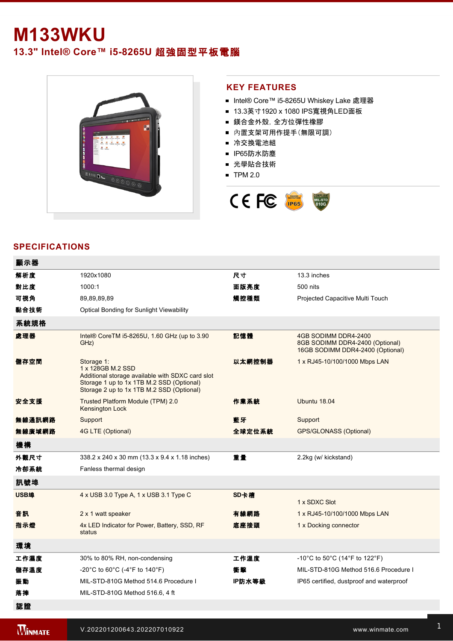# **M133WKU**

# **13.3" Intel® Core™ i5-8265U 超強固型平板電腦**



#### **KEY FEATURES**

- Intel® Core™ i5-8265U Whiskey Lake 處理器
- 13.3英寸1920 x 1080 IPS寬視角LED面板
- 鎂合金外殼,全方位彈性橡膠
- 內置支架可用作提手(無限可調)
- 冷交換電池組
- IP65防水防塵
- 光學貼合技術
- $\blacksquare$  TPM 2.0



### **SPECIFICATIONS**

| 顯示器    |                                                                                                                                                                               |        |                                                                                             |
|--------|-------------------------------------------------------------------------------------------------------------------------------------------------------------------------------|--------|---------------------------------------------------------------------------------------------|
| 解析度    | 1920x1080                                                                                                                                                                     | 尺寸     | 13.3 inches                                                                                 |
| 對比度    | 1000:1                                                                                                                                                                        | 面版亮度   | 500 nits                                                                                    |
| 可視角    | 89,89,89,89                                                                                                                                                                   | 觸控種類   | Projected Capacitive Multi Touch                                                            |
| 黏合技術   | <b>Optical Bonding for Sunlight Viewability</b>                                                                                                                               |        |                                                                                             |
| 系統規格   |                                                                                                                                                                               |        |                                                                                             |
| 處理器    | Intel® CoreTM i5-8265U, 1.60 GHz (up to 3.90<br>GHz)                                                                                                                          | 記憶體    | 4GB SODIMM DDR4-2400<br>8GB SODIMM DDR4-2400 (Optional)<br>16GB SODIMM DDR4-2400 (Optional) |
| 儲存空間   | Storage 1:<br>1 x 128GB M.2 SSD<br>Additional storage available with SDXC card slot<br>Storage 1 up to 1x 1TB M.2 SSD (Optional)<br>Storage 2 up to 1x 1TB M.2 SSD (Optional) | 以太網控制器 | 1 x RJ45-10/100/1000 Mbps LAN                                                               |
| 安全支援   | Trusted Platform Module (TPM) 2.0<br><b>Kensington Lock</b>                                                                                                                   | 作業系統   | Ubuntu 18.04                                                                                |
| 無線通訊網路 | Support                                                                                                                                                                       | 藍牙     | Support                                                                                     |
| 無線廣域網路 | 4G LTE (Optional)                                                                                                                                                             | 全球定位系統 | GPS/GLONASS (Optional)                                                                      |
| 機構     |                                                                                                                                                                               |        |                                                                                             |
| 外觀尺寸   | 338.2 x 240 x 30 mm (13.3 x 9.4 x 1.18 inches)                                                                                                                                | 重量     | 2.2kg (w/ kickstand)                                                                        |
| 冷卻系統   | Fanless thermal design                                                                                                                                                        |        |                                                                                             |
| 訊號埠    |                                                                                                                                                                               |        |                                                                                             |
| USB埠   | 4 x USB 3.0 Type A, 1 x USB 3.1 Type C                                                                                                                                        | SD卡槽   | 1 x SDXC Slot                                                                               |
| 音訊     | 2 x 1 watt speaker                                                                                                                                                            | 有線網路   | 1 x RJ45-10/100/1000 Mbps LAN                                                               |
| 指示燈    | 4x LED Indicator for Power, Battery, SSD, RF<br>status                                                                                                                        | 底座接頭   | 1 x Docking connector                                                                       |
| 環境     |                                                                                                                                                                               |        |                                                                                             |
| 工作濕度   | 30% to 80% RH, non-condensing                                                                                                                                                 | 工作溫度   | -10°C to 50°C (14°F to 122°F)                                                               |
| 儲存溫度   | -20°C to 60°C (-4°F to 140°F)                                                                                                                                                 | 衝擊     | MIL-STD-810G Method 516.6 Procedure I                                                       |
| 振動     | MIL-STD-810G Method 514.6 Procedure I                                                                                                                                         | IP防水等級 | IP65 certified, dustproof and waterproof                                                    |
| 落摔     | MIL-STD-810G Method 516.6, 4 ft                                                                                                                                               |        |                                                                                             |
| 認證     |                                                                                                                                                                               |        |                                                                                             |

認證 CE, FCC